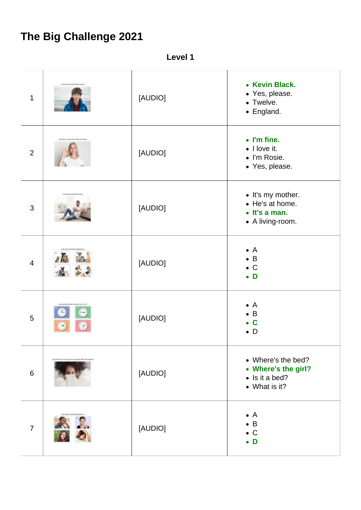## **The Big Challenge 2021**

**Level 1**

| $\mathbf{1}$   | Live Jones and Net We May and     | [AUDIO] | • Kevin Black.<br>• Yes, please.<br>• Twelve.<br>• England.                          |
|----------------|-----------------------------------|---------|--------------------------------------------------------------------------------------|
| $\overline{2}$ | 1 July 10041 and Not for server   | [AUDIO] | • I'm fine.<br>• I love it.<br>• I'm Rosie.<br>• Yes, please.                        |
| 3              |                                   | [AUDIO] | • It's my mother.<br>• He's at home.<br>$\bullet$ It's a man.<br>• A living-room.    |
| $\overline{4}$ | X lib<br><b>Live Le</b>           | [AUDIO] | $\bullet$ A<br>$\bullet$ B<br>$\bullet$ C<br>$\bullet$ D                             |
| 5              | $\sim$                            | [AUDIO] | $\bullet$ A<br>$\bullet$ B<br>$\bullet$ C<br>$\bullet$ D                             |
| $6\,$          | as throughout a contract when the | [AUDIO] | • Where's the bed?<br>• Where's the girl?<br>$\bullet$ Is it a bed?<br>• What is it? |
| $\overline{7}$ | 8 L.                              | [AUDIO] | $\bullet$ A<br>$\bullet$ B<br>$\bullet$ C<br>$\bullet$ D                             |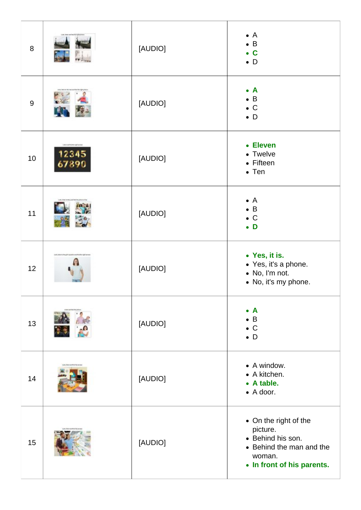| $\boldsymbol{8}$ |                                            | [AUDIO] | $\bullet$ A<br>$\bullet$ B<br>$\bullet$ C<br>$\bullet$ D                                                                   |
|------------------|--------------------------------------------|---------|----------------------------------------------------------------------------------------------------------------------------|
| 9                |                                            | [AUDIO] | $\bullet$ A<br>$\bullet$ B<br>$\bullet$ C<br>$\bullet$ D                                                                   |
| 10               | Library forth-right ener<br>12345<br>67890 | [AUDIO] | • Eleven<br>• Twelve<br>• Fifteen<br>$\bullet$ Ten                                                                         |
| 11               |                                            | [AUDIO] | $\bullet$ A<br>$\bullet$ B<br>$\bullet$ C<br>$\bullet$ D                                                                   |
| 12               |                                            | [AUDIO] | • Yes, it is.<br>• Yes, it's a phone.<br>• No, I'm not.<br>• No, it's my phone.                                            |
| 13               |                                            | [AUDIO] | $\bullet$ A<br>$\bullet$ B<br>$\bullet$ C<br>$\bullet$ D                                                                   |
| 14               |                                            | [AUDIO] | • A window.<br>• A kitchen.<br>• A table.<br>$\bullet$ A door.                                                             |
| 15               |                                            | [AUDIO] | • On the right of the<br>picture.<br>• Behind his son.<br>• Behind the man and the<br>woman.<br>• In front of his parents. |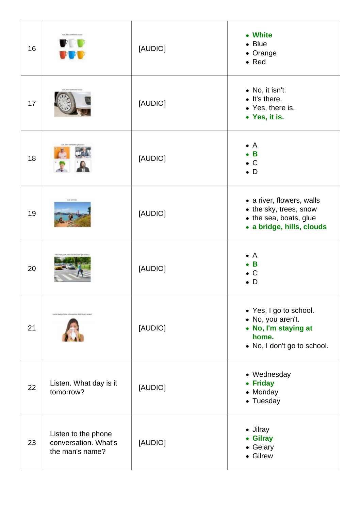| 16 |                                                                | [AUDIO] | • White<br>$\bullet$ Blue<br>• Orange<br>$\bullet$ Red                                                      |
|----|----------------------------------------------------------------|---------|-------------------------------------------------------------------------------------------------------------|
| 17 |                                                                | [AUDIO] | • No, it isn't.<br>• It's there.<br>• Yes, there is.<br>• Yes, it is.                                       |
| 18 |                                                                | [AUDIO] | $\bullet$ A<br>B<br>$\bullet$ C<br>$\bullet$ D                                                              |
| 19 | Lock and total                                                 | [AUDIO] | • a river, flowers, walls<br>• the sky, trees, snow<br>• the sea, boats, glue<br>· a bridge, hills, clouds  |
| 20 |                                                                | [AUDIO] | $\bullet$ A<br>B<br>C<br>D<br>$\bullet$                                                                     |
| 21 | pating these entrances to the quantities effect's higher to    | [AUDIO] | • Yes, I go to school.<br>• No, you aren't.<br>• No, I'm staying at<br>home.<br>• No, I don't go to school. |
| 22 | Listen. What day is it<br>tomorrow?                            | [AUDIO] | • Wednesday<br>• Friday<br>• Monday<br>• Tuesday                                                            |
| 23 | Listen to the phone<br>conversation. What's<br>the man's name? | [AUDIO] | • Jilray<br>• Gilray<br>• Gelary<br>• Gilrew                                                                |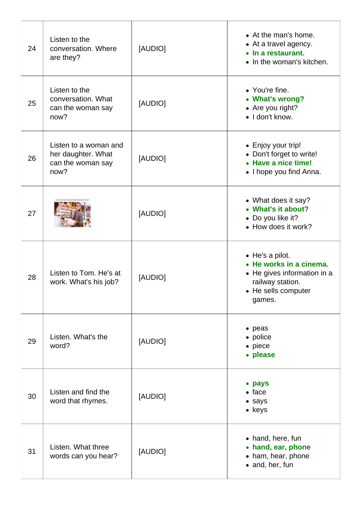| 24 | Listen to the<br>conversation. Where<br>are they?                        | [AUDIO] | • At the man's home.<br>• At a travel agency.<br>• In a restaurant.<br>• In the woman's kitchen.                               |
|----|--------------------------------------------------------------------------|---------|--------------------------------------------------------------------------------------------------------------------------------|
| 25 | Listen to the<br>conversation. What<br>can the woman say<br>now?         | [AUDIO] | • You're fine.<br>• What's wrong?<br>• Are you right?<br>· I don't know.                                                       |
| 26 | Listen to a woman and<br>her daughter. What<br>can the woman say<br>now? | [AUDIO] | • Enjoy your trip!<br>• Don't forget to write!<br>• Have a nice time!<br>• I hope you find Anna.                               |
| 27 |                                                                          | [AUDIO] | • What does it say?<br>• What's it about?<br>• Do you like it?<br>• How does it work?                                          |
| 28 | Listen to Tom. He's at<br>work. What's his job?                          | [AUDIO] | • He's a pilot.<br>• He works in a cinema.<br>• He gives information in a<br>railway station.<br>• He sells computer<br>games. |
| 29 | Listen. What's the<br>word?                                              | [AUDIO] | • peas<br>• police<br>$\bullet$ piece<br>• please                                                                              |
| 30 | Listen and find the<br>word that rhymes.                                 | [AUDIO] | • pays<br>$\bullet$ face<br>• says<br>• keys                                                                                   |
| 31 | Listen. What three<br>words can you hear?                                | [AUDIO] | • hand, here, fun<br>• hand, ear, phone<br>• ham, hear, phone<br>• and, her, fun                                               |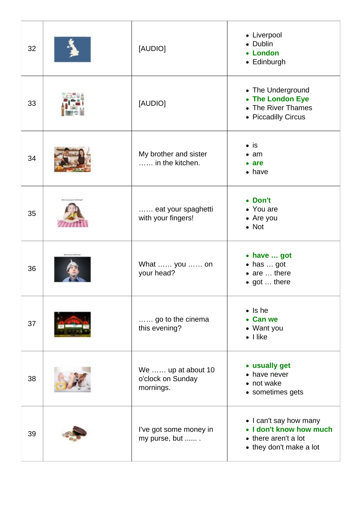| 32 |                                   | [AUDIO]                                              | • Liverpool<br>• Dublin<br>• London<br>• Edinburgh                                                   |
|----|-----------------------------------|------------------------------------------------------|------------------------------------------------------------------------------------------------------|
| 33 |                                   | [AUDIO]                                              | • The Underground<br>• The London Eye<br>• The River Thames<br>• Piccadilly Circus                   |
| 34 |                                   | My brother and sister<br>in the kitchen.             | $\bullet$ is<br>$\bullet$ am<br>$\bullet$ are<br>$\bullet$ have                                      |
| 35 |                                   | eat your spaghetti<br>with your fingers!             | • Don't<br>• You are<br>• Are you<br>$\bullet$ Not                                                   |
| 36 | <b>BRUS CATALOG AND RESIDENCE</b> | What  you  on<br>your head?                          | • have  got<br>• has  got<br>$\bullet$ are $\dots$ there<br>• got  there                             |
| 37 |                                   | go to the cinema<br>this evening?                    | $\bullet$ Is he<br>• Can we<br>• Want you<br>$\bullet$   like                                        |
| 38 |                                   | We  up at about 10<br>o'clock on Sunday<br>mornings. | • usually get<br>• have never<br>• not wake<br>• sometimes gets                                      |
| 39 |                                   | I've got some money in<br>my purse, but              | • I can't say how many<br>• I don't know how much<br>• there aren't a lot<br>• they don't make a lot |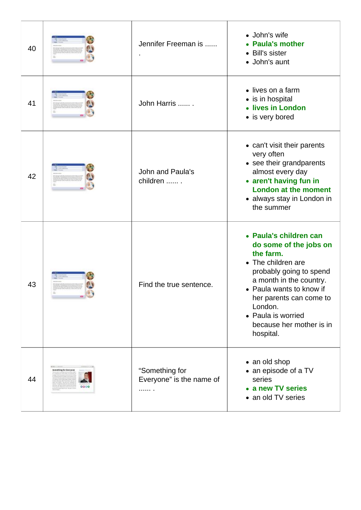| 40 |                                                  | Jennifer Freeman is                             | • John's wife<br>• Paula's mother<br>• Bill's sister<br>• John's aunt                                                                                                                                                                                                      |
|----|--------------------------------------------------|-------------------------------------------------|----------------------------------------------------------------------------------------------------------------------------------------------------------------------------------------------------------------------------------------------------------------------------|
| 41 |                                                  | John Harris                                     | • lives on a farm<br>• is in hospital<br>• lives in London<br>• is very bored                                                                                                                                                                                              |
| 42 |                                                  | John and Paula's<br>children  .                 | • can't visit their parents<br>very often<br>• see their grandparents<br>almost every day<br>• aren't having fun in<br><b>London at the moment</b><br>• always stay in London in<br>the summer                                                                             |
| 43 |                                                  | Find the true sentence.                         | • Paula's children can<br>do some of the jobs on<br>the farm.<br>• The children are<br>probably going to spend<br>a month in the country.<br>• Paula wants to know if<br>her parents can come to<br>London.<br>• Paula is worried<br>because her mother is in<br>hospital. |
| 44 | <b>ROBERT COMPANY</b><br>Scenething for Everywas | "Something for<br>Everyone" is the name of<br>. | • an old shop<br>• an episode of a TV<br>series<br>• a new TV series<br>• an old TV series                                                                                                                                                                                 |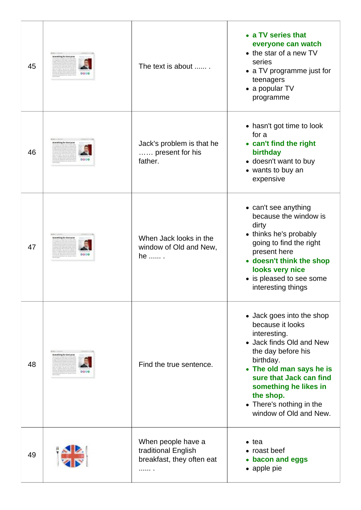| 45 | <b>MONECCOULD</b><br>Something for Everyway                    | The text is about                                                           | • a TV series that<br>everyone can watch<br>• the star of a new TV<br>series<br>• a TV programme just for<br>teenagers<br>$\bullet$ a popular TV<br>programme                                                                                                                   |
|----|----------------------------------------------------------------|-----------------------------------------------------------------------------|---------------------------------------------------------------------------------------------------------------------------------------------------------------------------------------------------------------------------------------------------------------------------------|
| 46 | <b>Something for Everywan</b>                                  | Jack's problem is that he<br>present for his<br>father.                     | • hasn't got time to look<br>for a<br>• can't find the right<br>birthday<br>• doesn't want to buy<br>• wants to buy an<br>expensive                                                                                                                                             |
| 47 | <b>ROBERT LIBERTS</b><br><b>Something for Everywan</b><br>0006 | When Jack looks in the<br>window of Old and New,<br>he  .                   | • can't see anything<br>because the window is<br>dirty<br>• thinks he's probably<br>going to find the right<br>present here<br>• doesn't think the shop<br>looks very nice<br>• is pleased to see some<br>interesting things                                                    |
| 48 | <b>ROBERT CORDINA</b><br>Something for Everywan                | Find the true sentence.                                                     | • Jack goes into the shop<br>because it looks<br>interesting.<br>• Jack finds Old and New<br>the day before his<br>birthday.<br>• The old man says he is<br>sure that Jack can find<br>something he likes in<br>the shop.<br>• There's nothing in the<br>window of Old and New. |
| 49 |                                                                | When people have a<br>traditional English<br>breakfast, they often eat<br>. | $\bullet$ tea<br>• roast beef<br>• bacon and eggs<br>• apple pie                                                                                                                                                                                                                |